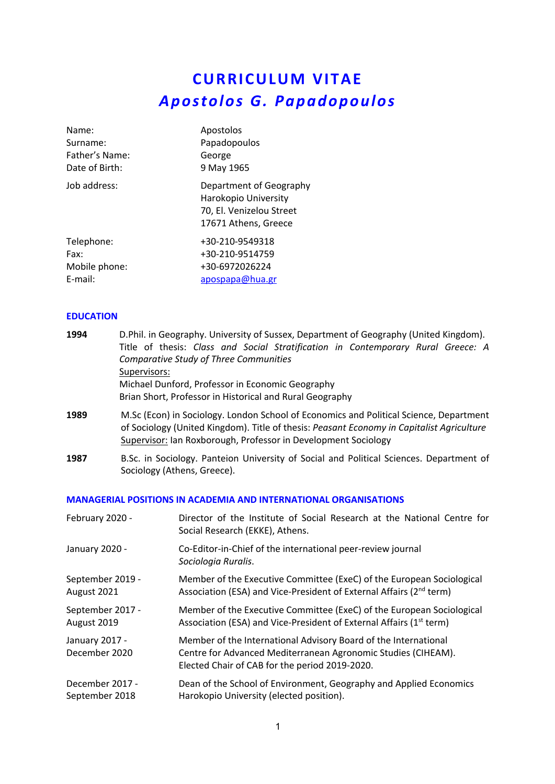# **CURRICULUM VITAE** *Apostolos G. Papadopoulos*

| Name:          | Apostolos                                                                                           |
|----------------|-----------------------------------------------------------------------------------------------------|
| Surname:       | Papadopoulos                                                                                        |
| Father's Name: | George                                                                                              |
| Date of Birth: | 9 May 1965                                                                                          |
| Job address:   | Department of Geography<br>Harokopio University<br>70, El. Venizelou Street<br>17671 Athens, Greece |
| Telephone:     | +30-210-9549318                                                                                     |
| Fax:           | +30-210-9514759                                                                                     |
| Mobile phone:  | +30-6972026224                                                                                      |
| E-mail:        | apospapa@hua.gr                                                                                     |

## **EDUCATION**

| D.Phil. in Geography. University of Sussex, Department of Geography (United Kingdom).                                                                                                                                                                 |
|-------------------------------------------------------------------------------------------------------------------------------------------------------------------------------------------------------------------------------------------------------|
| Title of thesis: Class and Social Stratification in Contemporary Rural Greece: A                                                                                                                                                                      |
|                                                                                                                                                                                                                                                       |
|                                                                                                                                                                                                                                                       |
|                                                                                                                                                                                                                                                       |
| Brian Short, Professor in Historical and Rural Geography                                                                                                                                                                                              |
| M.Sc (Econ) in Sociology. London School of Economics and Political Science, Department<br>of Sociology (United Kingdom). Title of thesis: Peasant Economy in Capitalist Agriculture<br>Supervisor: Ian Roxborough, Professor in Development Sociology |
|                                                                                                                                                                                                                                                       |

**1987** B.Sc. in Sociology. Panteion University of Social and Political Sciences. Department of Sociology (Athens, Greece).

## **MANAGERIAL POSITIONS IN ACADEMIA AND INTERNATIONAL ORGANISATIONS**

| February 2020 -                 | Director of the Institute of Social Research at the National Centre for<br>Social Research (EKKE), Athens.                                                                         |
|---------------------------------|------------------------------------------------------------------------------------------------------------------------------------------------------------------------------------|
| January 2020 -                  | Co-Editor-in-Chief of the international peer-review journal<br>Sociologia Ruralis.                                                                                                 |
| September 2019 -                | Member of the Executive Committee (ExeC) of the European Sociological                                                                                                              |
| August 2021                     | Association (ESA) and Vice-President of External Affairs (2 <sup>nd</sup> term)                                                                                                    |
| September 2017 -                | Member of the Executive Committee (ExeC) of the European Sociological                                                                                                              |
| August 2019                     | Association (ESA) and Vice-President of External Affairs (1 <sup>st</sup> term)                                                                                                    |
| January 2017 -<br>December 2020 | Member of the International Advisory Board of the International<br>Centre for Advanced Mediterranean Agronomic Studies (CIHEAM).<br>Elected Chair of CAB for the period 2019-2020. |
| December 2017 -                 | Dean of the School of Environment, Geography and Applied Economics                                                                                                                 |
| September 2018                  | Harokopio University (elected position).                                                                                                                                           |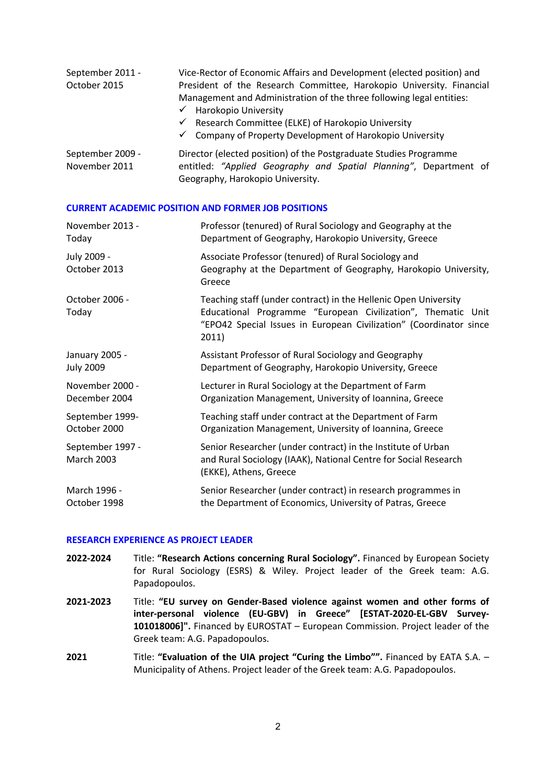| September 2011 -<br>October 2015  | Vice-Rector of Economic Affairs and Development (elected position) and<br>President of the Research Committee, Harokopio University. Financial<br>Management and Administration of the three following legal entities:<br>$\checkmark$ Harokopio University<br>$\checkmark$ Research Committee (ELKE) of Harokopio University<br>$\checkmark$ Company of Property Development of Harokopio University |
|-----------------------------------|-------------------------------------------------------------------------------------------------------------------------------------------------------------------------------------------------------------------------------------------------------------------------------------------------------------------------------------------------------------------------------------------------------|
| September 2009 -<br>November 2011 | Director (elected position) of the Postgraduate Studies Programme<br>entitled: "Applied Geography and Spatial Planning", Department of<br>Geography, Harokopio University.                                                                                                                                                                                                                            |

#### **CURRENT ACADEMIC POSITION AND FORMER JOB POSITIONS**

| November 2013 -                       | Professor (tenured) of Rural Sociology and Geography at the                                                                                                                                                    |
|---------------------------------------|----------------------------------------------------------------------------------------------------------------------------------------------------------------------------------------------------------------|
| Today                                 | Department of Geography, Harokopio University, Greece                                                                                                                                                          |
| July 2009 -<br>October 2013           | Associate Professor (tenured) of Rural Sociology and<br>Geography at the Department of Geography, Harokopio University,<br>Greece                                                                              |
| October 2006 -<br>Today               | Teaching staff (under contract) in the Hellenic Open University<br>Educational Programme "European Civilization", Thematic Unit<br>"EPO42 Special Issues in European Civilization" (Coordinator since<br>2011) |
| January 2005 -                        | Assistant Professor of Rural Sociology and Geography                                                                                                                                                           |
| <b>July 2009</b>                      | Department of Geography, Harokopio University, Greece                                                                                                                                                          |
| November 2000 -                       | Lecturer in Rural Sociology at the Department of Farm                                                                                                                                                          |
| December 2004                         | Organization Management, University of Ioannina, Greece                                                                                                                                                        |
| September 1999-                       | Teaching staff under contract at the Department of Farm                                                                                                                                                        |
| October 2000                          | Organization Management, University of Ioannina, Greece                                                                                                                                                        |
| September 1997 -<br><b>March 2003</b> | Senior Researcher (under contract) in the Institute of Urban<br>and Rural Sociology (IAAK), National Centre for Social Research<br>(EKKE), Athens, Greece                                                      |
| March 1996 -                          | Senior Researcher (under contract) in research programmes in                                                                                                                                                   |
| October 1998                          | the Department of Economics, University of Patras, Greece                                                                                                                                                      |

#### **RESEARCH EXPERIENCE AS PROJECT LEADER**

- **2022-2024** Title: **"Research Actions concerning Rural Sociology".** Financed by European Society for Rural Sociology (ESRS) & Wiley. Project leader of the Greek team: A.G. Papadopoulos.
- **2021-2023** Title: **"EU survey on Gender-Based violence against women and other forms of inter-personal violence (EU-GBV) in Greece" [ESTAT-2020-EL-GBV Survey-101018006]".** Financed by EUROSTAT – European Commission. Project leader of the Greek team: A.G. Papadopoulos.
- **2021** Title: **"Evaluation of the UIA project "Curing the Limbo"".** Financed by EATA S.A. Municipality of Athens. Project leader of the Greek team: A.G. Papadopoulos.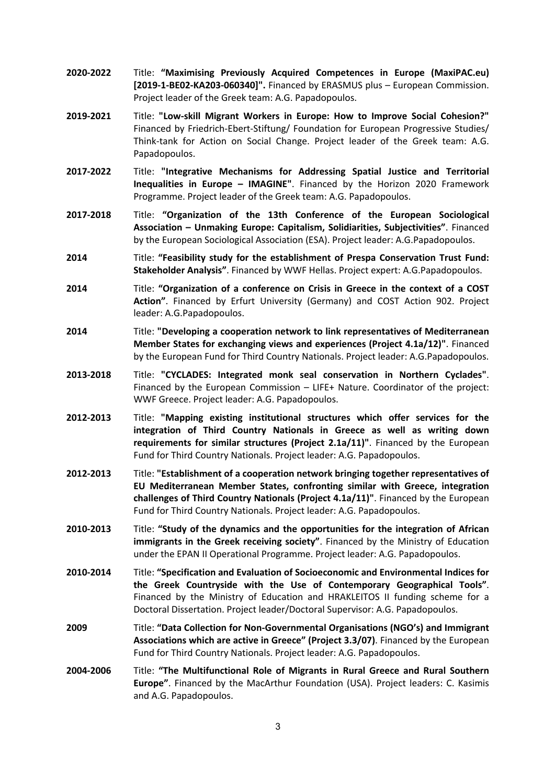- **2020-2022** Title: **"Maximising Previously Acquired Competences in Europe (MaxiPAC.eu) [2019-1-BE02-KA203-060340]".** Financed by ERASMUS plus – European Commission. Project leader of the Greek team: A.G. Papadopoulos.
- **2019-2021** Title: **"Low-skill Migrant Workers in Europe: How to Improve Social Cohesion?"** Financed by Friedrich-Ebert-Stiftung/ Foundation for European Progressive Studies/ Think-tank for Action on Social Change. Project leader of the Greek team: A.G. Papadopoulos.
- **2017-2022** Title: **"Integrative Mechanisms for Addressing Spatial Justice and Territorial Inequalities in Europe – IMAGINE"**. Financed by the Horizon 2020 Framework Programme. Project leader of the Greek team: A.G. Papadopoulos.
- **2017-2018** Title: **"Organization of the 13th Conference of the European Sociological Association – Unmaking Europe: Capitalism, Solidiarities, Subjectivities"**. Financed by the European Sociological Association (ESA). Project leader: A.G.Papadopoulos.
- **2014** Title: **"Feasibility study for the establishment of Prespa Conservation Trust Fund: Stakeholder Analysis"**. Financed by WWF Hellas. Project expert: A.G.Papadopoulos.
- **2014** Title: **"Organization of a conference on Crisis in Greece in the context of a COST Action"**. Financed by Erfurt University (Germany) and COST Action 902. Project leader: A.G.Papadopoulos.
- **2014** Title: **"Developing a cooperation network to link representatives of Mediterranean Member States for exchanging views and experiences (Project 4.1a/12)"**. Financed by the European Fund for Third Country Nationals. Project leader: A.G.Papadopoulos.
- **2013-2018** Title: **"CYCLADES: Integrated monk seal conservation in Northern Cyclades"**. Financed by the European Commission – LIFE+ Nature. Coordinator of the project: WWF Greece. Project leader: A.G. Papadopoulos.
- **2012-2013** Title: **"Mapping existing institutional structures which offer services for the integration of Third Country Nationals in Greece as well as writing down requirements for similar structures (Project 2.1a/11)"**. Financed by the European Fund for Third Country Nationals. Project leader: A.G. Papadopoulos.
- **2012-2013** Title: **"Establishment of a cooperation network bringing together representatives of EU Mediterranean Member States, confronting similar with Greece, integration challenges of Third Country Nationals (Project 4.1a/11)"**. Financed by the European Fund for Third Country Nationals. Project leader: A.G. Papadopoulos.
- **2010-2013** Title: **"Study of the dynamics and the opportunities for the integration of African immigrants in the Greek receiving society"**. Financed by the Ministry of Education under the EPAN II Operational Programme. Project leader: A.G. Papadopoulos.
- **2010-2014** Title: **"Specification and Evaluation of Socioeconomic and Environmental Indices for the Greek Countryside with the Use of Contemporary Geographical Tools"**. Financed by the Ministry of Education and HRAKLEITOS II funding scheme for a Doctoral Dissertation. Project leader/Doctoral Supervisor: A.G. Papadopoulos.
- **2009** Title: **"Data Collection for Non-Governmental Organisations (NGO's) and Immigrant Associations which are active in Greece" (Project 3.3/07)**. Financed by the European Fund for Third Country Nationals. Project leader: A.G. Papadopoulos.
- **2004-2006** Title: **"The Multifunctional Role of Migrants in Rural Greece and Rural Southern Europe"**. Financed by the MacArthur Foundation (USA). Project leaders: C. Kasimis and A.G. Papadopoulos.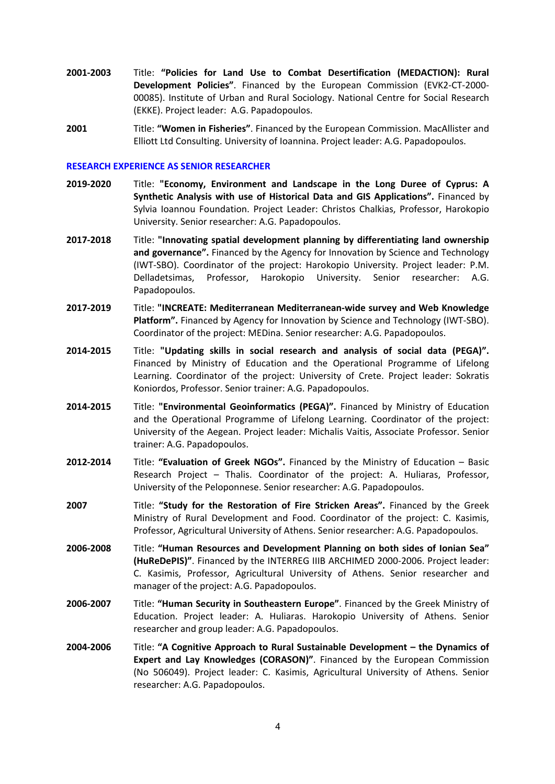- **2001-2003** Title: **"Policies for Land Use to Combat Desertification (MEDACTION): Rural Development Policies"**. Financed by the European Commission (EVK2-CT-2000- 00085). Institute of Urban and Rural Sociology. National Centre for Social Research (EKKE). Project leader: A.G. Papadopoulos.
- **2001** Title: **"Women in Fisheries"**. Financed by the European Commission. MacAllister and Elliott Ltd Consulting. University of Ioannina. Project leader: A.G. Papadopoulos.

#### **RESEARCH EXPERIENCE AS SENIOR RESEARCHER**

- **2019-2020** Title: **"Economy, Environment and Landscape in the Long Duree of Cyprus: A Synthetic Analysis with use of Historical Data and GIS Applications".** Financed by Sylvia Ioannou Foundation. Project Leader: Christos Chalkias, Professor, Harokopio University. Senior researcher: A.G. Papadopoulos.
- **2017-2018** Title: **"Innovating spatial development planning by differentiating land ownership and governance".** Financed by the Agency for Innovation by Science and Technology (IWT-SBO). Coordinator of the project: Harokopio University. Project leader: P.M. Delladetsimas, Professor, Harokopio University. Senior researcher: A.G. Papadopoulos.
- **2017-2019** Title: **"INCREATE: Mediterranean Mediterranean-wide survey and Web Knowledge Platform".** Financed by Agency for Innovation by Science and Technology (IWT-SBO). Coordinator of the project: MEDina. Senior researcher: A.G. Papadopoulos.
- **2014-2015** Title: **"Updating skills in social research and analysis of social data (PEGA)".** Financed by Ministry of Education and the Operational Programme of Lifelong Learning. Coordinator of the project: University of Crete. Project leader: Sokratis Koniordos, Professor. Senior trainer: A.G. Papadopoulos.
- **2014-2015** Title: **"Environmental Geoinformatics (PEGA)".** Financed by Ministry of Education and the Operational Programme of Lifelong Learning. Coordinator of the project: University of the Aegean. Project leader: Michalis Vaitis, Associate Professor. Senior trainer: A.G. Papadopoulos.
- **2012-2014** Title: **"Evaluation of Greek NGOs".** Financed by the Ministry of Education Basic Research Project – Thalis. Coordinator of the project: A. Huliaras, Professor, University of the Peloponnese. Senior researcher: A.G. Papadopoulos.
- **2007** Title: **"Study for the Restoration of Fire Stricken Areas".** Financed by the Greek Ministry of Rural Development and Food. Coordinator of the project: C. Kasimis, Professor, Agricultural University of Athens. Senior researcher: A.G. Papadopoulos.
- **2006-2008** Title: **"Human Resources and Development Planning on both sides of Ionian Sea" (HuReDePIS)"**. Financed by the INTERREG IIIB ARCHIMED 2000-2006. Project leader: C. Kasimis, Professor, Agricultural University of Athens. Senior researcher and manager of the project: A.G. Papadopoulos.
- **2006-2007** Title: **"Human Security in Southeastern Europe"**. Financed by the Greek Ministry of Education. Project leader: A. Huliaras. Harokopio University of Athens. Senior researcher and group leader: A.G. Papadopoulos.
- **2004-2006** Title: **"A Cognitive Approach to Rural Sustainable Development – the Dynamics of Expert and Lay Knowledges (CORASON)"**. Financed by the European Commission (No 506049). Project leader: C. Kasimis, Agricultural University of Athens. Senior researcher: A.G. Papadopoulos.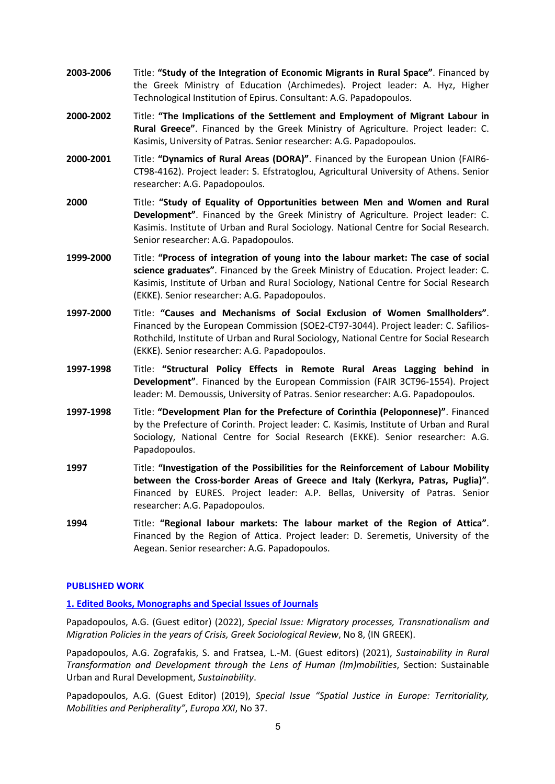- **2003-2006** Title: **"Study of the Integration of Economic Migrants in Rural Space"**. Financed by the Greek Ministry of Education (Archimedes). Project leader: A. Hyz, Higher Technological Institution of Epirus. Consultant: A.G. Papadopoulos.
- **2000-2002** Title: **"The Implications of the Settlement and Employment of Migrant Labour in Rural Greece"**. Financed by the Greek Ministry of Agriculture. Project leader: C. Kasimis, University of Patras. Senior researcher: A.G. Papadopoulos.
- **2000-2001** Title: **"Dynamics of Rural Areas (DORA)"**. Financed by the European Union (FAIR6- CT98-4162). Project leader: S. Efstratoglou, Agricultural University of Athens. Senior researcher: A.G. Papadopoulos.
- **2000** Title: **"Study of Equality of Opportunities between Men and Women and Rural Development"**. Financed by the Greek Ministry of Agriculture. Project leader: C. Kasimis. Institute of Urban and Rural Sociology. National Centre for Social Research. Senior researcher: A.G. Papadopoulos.
- **1999-2000** Title: **"Process of integration of young into the labour market: The case of social science graduates"**. Financed by the Greek Ministry of Education. Project leader: C. Kasimis, Institute of Urban and Rural Sociology, National Centre for Social Research (EKKE). Senior researcher: A.G. Papadopoulos.
- **1997-2000** Title: **"Causes and Mechanisms of Social Exclusion of Women Smallholders"**. Financed by the European Commission (SOE2-CT97-3044). Project leader: C. Safilios-Rothchild, Institute of Urban and Rural Sociology, National Centre for Social Research (EKKE). Senior researcher: A.G. Papadopoulos.
- **1997-1998** Title: **"Structural Policy Effects in Remote Rural Areas Lagging behind in Development"**. Financed by the European Commission (FAIR 3CT96-1554). Project leader: M. Demoussis, University of Patras. Senior researcher: A.G. Papadopoulos.
- **1997-1998** Title: **"Development Plan for the Prefecture of Corinthia (Peloponnese)"**. Financed by the Prefecture of Corinth. Project leader: C. Kasimis, Institute of Urban and Rural Sociology, National Centre for Social Research (EKKE). Senior researcher: A.G. Papadopoulos.
- **1997** Title: **"Investigation of the Possibilities for the Reinforcement of Labour Mobility between the Cross-border Areas of Greece and Italy (Kerkyra, Patras, Puglia)"**. Financed by EURES. Project leader: A.P. Bellas, University of Patras. Senior researcher: A.G. Papadopoulos.
- **1994** Title: **"Regional labour markets: The labour market of the Region of Attica"**. Financed by the Region of Attica. Project leader: D. Seremetis, University of the Aegean. Senior researcher: A.G. Papadopoulos.

## **PUBLISHED WORK**

#### **1. Edited Books, Monographs and Special Issues of Journals**

Papadopoulos, A.G. (Guest editor) (2022), *Special Issue: Migratory processes, Transnationalism and Migration Policies in the years of Crisis, Greek Sociological Review*, No 8, (IN GREEK).

Papadopoulos, A.G. Zografakis, S. and Fratsea, L.-M. (Guest editors) (2021), *Sustainability in Rural Transformation and Development through the Lens of Human (Im)mobilities*, Section: Sustainable Urban and Rural Development, *Sustainability*.

Papadopoulos, A.G. (Guest Editor) (2019), *Special Issue "Spatial Justice in Europe: Territoriality, Mobilities and Peripherality"*, *Europa XXI*, No 37.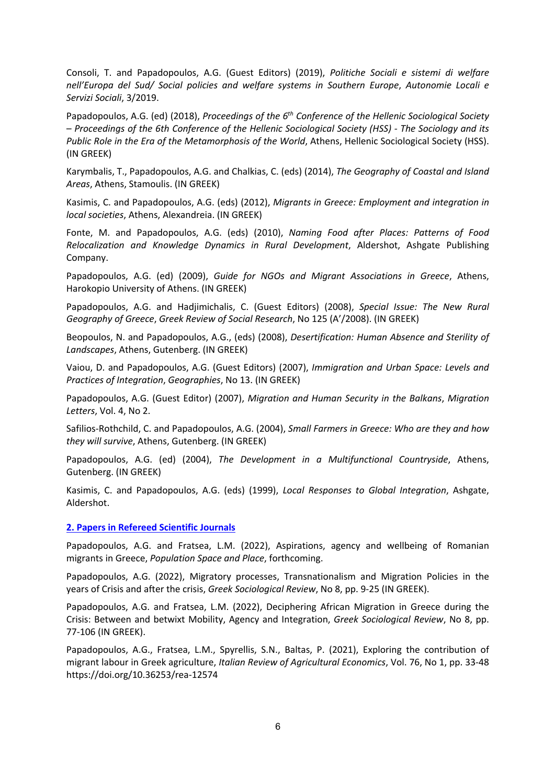Consoli, T. and Papadopoulos, A.G. (Guest Editors) (2019), *Politiche Sociali e sistemi di welfare nell'Europa del Sud/ Social policies and welfare systems in Southern Europe*, *Autonomie Locali e Servizi Sociali*, 3/2019.

Papadopoulos, A.G. (ed) (2018), *Proceedings of the 6th Conference of the Hellenic Sociological Society – Proceedings of the 6th Conference of the Hellenic Sociological Society (HSS) - The Sociology and its Public Role in the Era of the Metamorphosis of the World*, Athens, Hellenic Sociological Society (HSS). (IN GREEK)

Karymbalis, T., Papadopoulos, A.G. and Chalkias, C. (eds) (2014), *The Geography of Coastal and Island Areas*, Athens, Stamoulis. (IN GREEK)

Kasimis, C. and Papadopoulos, A.G. (eds) (2012), *Migrants in Greece: Employment and integration in local societies*, Athens, Alexandreia. (IN GREEK)

Fonte, M. and Papadopoulos, A.G. (eds) (2010), *Naming Food after Places: Patterns of Food Relocalization and Knowledge Dynamics in Rural Development*, Aldershot, Ashgate Publishing Company.

Papadopoulos, A.G. (ed) (2009), *Guide for NGOs and Migrant Associations in Greece*, Athens, Harokopio University of Athens. (IN GREEK)

Papadopoulos, A.G. and Hadjimichalis, C. (Guest Editors) (2008), *Special Issue: The New Rural Geography of Greece*, *Greek Review of Social Research*, No 125 (A'/2008). (IN GREEK)

Beopoulos, N. and Papadopoulos, A.G., (eds) (2008), *Desertification: Human Absence and Sterility of Landscapes*, Athens, Gutenberg. (IN GREEK)

Vaiou, D. and Papadopoulos, A.G. (Guest Editors) (2007), *Immigration and Urban Space: Levels and Practices of Integration*, *Geographies*, No 13. (IN GREEK)

Papadopoulos, A.G. (Guest Editor) (2007), *Migration and Human Security in the Balkans*, *Migration Letters*, Vol. 4, No 2.

Safilios-Rothchild, C. and Papadopoulos, A.G. (2004), *Small Farmers in Greece: Who are they and how they will survive*, Athens, Gutenberg. (IN GREEK)

Papadopoulos, A.G. (ed) (2004), *The Development in a Multifunctional Countryside*, Athens, Gutenberg. (IN GREEK)

Kasimis, C. and Papadopoulos, A.G. (eds) (1999), *Local Responses to Global Integration*, Ashgate, Aldershot.

#### **2. Papers in Refereed Scientific Journals**

Papadopoulos, A.G. and Fratsea, L.M. (2022), Aspirations, agency and wellbeing of Romanian migrants in Greece, *Population Space and Place*, forthcoming.

Papadopoulos, A.G. (2022), Migratory processes, Transnationalism and Migration Policies in the years of Crisis and after the crisis, *Greek Sociological Review*, No 8, pp. 9-25 (IN GREEK).

Papadopoulos, A.G. and Fratsea, L.M. (2022), Deciphering African Migration in Greece during the Crisis: Between and betwixt Mobility, Agency and Integration, *Greek Sociological Review*, No 8, pp. 77-106 (IN GREEK).

Papadopoulos, A.G., Fratsea, L.M., Spyrellis, S.N., Baltas, P. (2021), Exploring the contribution of migrant labour in Greek agriculture, *Italian Review of Agricultural Economics*, Vol. 76, No 1, pp. 33-48 https://doi.org/10.36253/rea-12574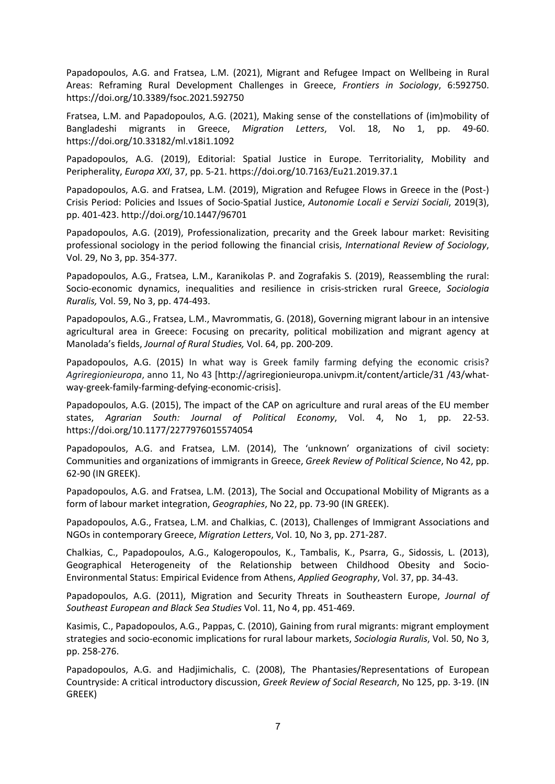Papadopoulos, A.G. and Fratsea, L.M. (2021), Migrant and Refugee Impact on Wellbeing in Rural Areas: Reframing Rural Development Challenges in Greece, *Frontiers in Sociology*, 6:592750. https://doi.org/10.3389/fsoc.2021.592750

Fratsea, L.M. and Papadopoulos, A.G. (2021), Making sense of the constellations of (im)mobility of Bangladeshi migrants in Greece, *Migration Letters*, Vol. 18, No 1, pp. 49-60. https://doi.org/10.33182/ml.v18i1.1092

Papadopoulos, A.G. (2019), Editorial: Spatial Justice in Europe. Territoriality, Mobility and Peripherality, *Europa XXI*, 37, pp. 5-21. https://doi.org/10.7163/Eu21.2019.37.1

Papadopoulos, A.G. and Fratsea, L.M. (2019), Migration and Refugee Flows in Greece in the (Post-) Crisis Period: Policies and Issues of Socio-Spatial Justice, *Autonomie Locali e Servizi Sociali*, 2019(3), pp. 401-423. http://doi.org/10.1447/96701

Papadopoulos, A.G. (2019), Professionalization, precarity and the Greek labour market: Revisiting professional sociology in the period following the financial crisis, *International Review of Sociology*, Vol. 29, No 3, pp. 354-377.

Papadopoulos, A.G., Fratsea, L.M., Karanikolas P. and Zografakis S. (2019), Reassembling the rural: Socio-economic dynamics, inequalities and resilience in crisis-stricken rural Greece, *Sociologia Ruralis,* Vol. 59, No 3, pp. 474-493.

Papadopoulos, A.G., Fratsea, L.M., Mavrommatis, G. (2018), Governing migrant labour in an intensive agricultural area in Greece: Focusing on precarity, political mobilization and migrant agency at Manolada's fields, *Journal of Rural Studies,* Vol. 64, pp. 200-209.

Papadopoulos, A.G. (2015) In what way is Greek family farming defying the economic crisis? *Agriregionieuropa*, anno 11, No 43 [http://agriregionieuropa.univpm.it/content/article/31 /43/whatway-greek-family-farming-defying-economic-crisis].

Papadopoulos, A.G. (2015), The impact of the CAP on agriculture and rural areas of the EU member states, *Agrarian South: Journal of Political Economy*, Vol. 4, No 1, pp. 22-53. https://doi.org/10.1177/2277976015574054

Papadopoulos, A.G. and Fratsea, L.M. (2014), The 'unknown' organizations of civil society: Communities and organizations of immigrants in Greece, *Greek Review of Political Science*, No 42, pp. 62-90 (IN GREEK).

Papadopoulos, A.G. and Fratsea, L.M. (2013), The Social and Occupational Mobility of Migrants as a form of labour market integration, *Geographies*, No 22, pp. 73-90 (IN GREEK).

Papadopoulos, A.G., Fratsea, L.M. and Chalkias, C. (2013), Challenges of Immigrant Associations and NGOs in contemporary Greece, *Migration Letters*, Vol. 10, No 3, pp. 271-287.

Chalkias, C., Papadopoulos, A.G., Kalogeropoulos, K., Tambalis, K., Psarra, G., Sidossis, L. (2013), Geographical Heterogeneity of the Relationship between Childhood Obesity and Socio-Environmental Status: Empirical Evidence from Athens, *Applied Geography*, Vol. 37, pp. 34-43.

Papadopoulos, A.G. (2011), Migration and Security Threats in Southeastern Europe, *Journal of Southeast European and Black Sea Studies* Vol. 11, No 4, pp. 451-469.

Kasimis, C., Papadopoulos, A.G., Pappas, C. (2010), Gaining from rural migrants: migrant employment strategies and socio-economic implications for rural labour markets, *Sociologia Ruralis*, Vol. 50, No 3, pp. 258-276.

Papadopoulos, A.G. and Hadjimichalis, C. (2008), The Phantasies/Representations of European Countryside: A critical introductory discussion, *Greek Review of Social Research*, No 125, pp. 3-19. (IN GREEK)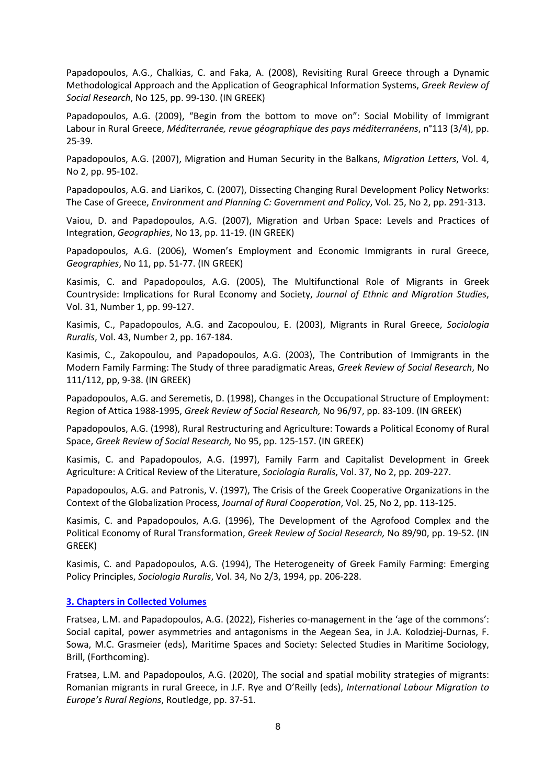Papadopoulos, A.G., Chalkias, C. and Faka, A. (2008), Revisiting Rural Greece through a Dynamic Methodological Approach and the Application of Geographical Information Systems, *Greek Review of Social Research*, No 125, pp. 99-130. (IN GREEK)

Papadopoulos, A.G. (2009), "Begin from the bottom to move on": Social Mobility of Immigrant Labour in Rural Greece, *Méditerranée, revue géographique des pays méditerranéens*, n°113 (3/4), pp. 25-39.

Papadopoulos, A.G. (2007), Migration and Human Security in the Balkans, *Migration Letters*, Vol. 4, No 2, pp. 95-102.

Papadopoulos, A.G. and Liarikos, C. (2007), Dissecting Changing Rural Development Policy Networks: The Case of Greece, *Environment and Planning C: Government and Policy*, Vol. 25, No 2, pp. 291-313.

Vaiou, D. and Papadopoulos, A.G. (2007), Migration and Urban Space: Levels and Practices of Integration, *Geographies*, No 13, pp. 11-19. (IN GREEK)

Papadopoulos, A.G. (2006), Women's Employment and Economic Immigrants in rural Greece, *Geographies*, No 11, pp. 51-77. (IN GREEK)

Kasimis, C. and Papadopoulos, A.G. (2005), The Multifunctional Role of Migrants in Greek Countryside: Implications for Rural Economy and Society, *Journal of Ethnic and Migration Studies*, Vol. 31, Number 1, pp. 99-127.

Kasimis, C., Papadopoulos, A.G. and Zacopoulou, E. (2003), Migrants in Rural Greece, *Sociologia Ruralis*, Vol. 43, Number 2, pp. 167-184.

Kasimis, C., Zakopoulou, and Papadopoulos, A.G. (2003), The Contribution of Immigrants in the Modern Family Farming: The Study of three paradigmatic Areas, *Greek Review of Social Research*, No 111/112, pp, 9-38. (IN GREEK)

Papadopoulos, A.G. and Seremetis, D. (1998), Changes in the Occupational Structure of Employment: Region of Attica 1988-1995, *Greek Review of Social Research,* No 96/97, pp. 83-109. (IN GREEK)

Papadopoulos, A.G. (1998), Rural Restructuring and Agriculture: Towards a Political Economy of Rural Space, *Greek Review of Social Research,* No 95, pp. 125-157. (IN GREEK)

Kasimis, C. and Papadopoulos, A.G. (1997), Family Farm and Capitalist Development in Greek Agriculture: A Critical Review of the Literature, *Sociologia Ruralis*, Vol. 37, No 2, pp. 209-227.

Papadopoulos, A.G. and Patronis, V. (1997), The Crisis of the Greek Cooperative Organizations in the Context of the Globalization Process, *Journal of Rural Cooperation*, Vol. 25, No 2, pp. 113-125.

Kasimis, C. and Papadopoulos, A.G. (1996), The Development of the Agrofood Complex and the Political Economy of Rural Transformation, *Greek Review of Social Research,* No 89/90, pp. 19-52. (IN GREEK)

Kasimis, C. and Papadopoulos, A.G. (1994), The Heterogeneity of Greek Family Farming: Emerging Policy Principles, *Sociologia Ruralis*, Vol. 34, No 2/3, 1994, pp. 206-228.

## **3. Chapters in Collected Volumes**

Fratsea, L.M. and Papadopoulos, A.G. (2022), Fisheries co-management in the 'age of the commons': Social capital, power asymmetries and antagonisms in the Aegean Sea, in J.A. Kolodziej-Durnas, F. Sowa, M.C. Grasmeier (eds), Maritime Spaces and Society: Selected Studies in Maritime Sociology, Brill, (Forthcoming).

Fratsea, L.M. and Papadopoulos, A.G. (2020), The social and spatial mobility strategies of migrants: Romanian migrants in rural Greece, in J.F. Rye and O'Reilly (eds), *International Labour Migration to Europe's Rural Regions*, Routledge, pp. 37-51.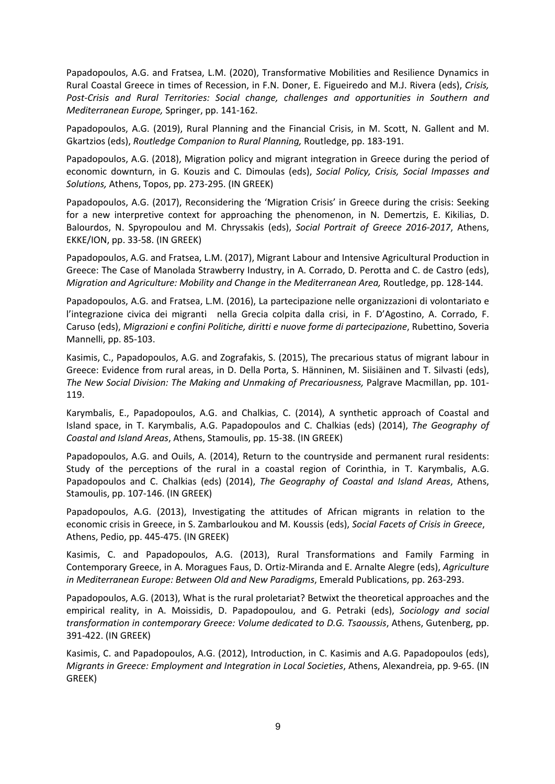Papadopoulos, A.G. and Fratsea, L.M. (2020), Transformative Mobilities and Resilience Dynamics in Rural Coastal Greece in times of Recession, in F.N. Doner, E. Figueiredo and M.J. Rivera (eds), *Crisis, Post-Crisis and Rural Territories: Social change, challenges and opportunities in Southern and Mediterranean Europe,* Springer, pp. 141-162.

Papadopoulos, A.G. (2019), Rural Planning and the Financial Crisis, in M. Scott, N. Gallent and M. Gkartzios (eds), *Routledge Companion to Rural Planning,* Routledge, pp. 183-191.

Papadopoulos, A.G. (2018), Migration policy and migrant integration in Greece during the period of economic downturn, in G. Kouzis and C. Dimoulas (eds), *Social Policy, Crisis, Social Impasses and Solutions,* Athens, Topos, pp. 273-295. (IN GREEK)

Papadopoulos, A.G. (2017), Reconsidering the 'Migration Crisis' in Greece during the crisis: Seeking for a new interpretive context for approaching the phenomenon, in N. Demertzis, E. Kikilias, D. Balourdos, N. Spyropoulou and M. Chryssakis (eds), *Social Portrait of Greece 2016-2017*, Athens, EKKE/ION, pp. 33-58. (IN GREEK)

Papadopoulos, A.G. and Fratsea, L.M. (2017), Migrant Labour and Intensive Agricultural Production in Greece: The Case of Manolada Strawberry Industry, in A. Corrado, D. Perotta and C. de Castro (eds), *Migration and Agriculture: Mobility and Change in the Mediterranean Area,* Routledge, pp. 128-144.

Papadopoulos, A.G. and Fratsea, L.M. (2016), La partecipazione nelle organizzazioni di volontariato e l'integrazione civica dei migranti nella Grecia colpita dalla crisi, in F. D'Agostino, A. Corrado, F. Caruso (eds), *Migrazioni e confini Politiche, diritti e nuove forme di partecipazione*, Rubettino, Soveria Mannelli, pp. 85-103.

Kasimis, C., Papadopoulos, A.G. and Zografakis, S. (2015), The precarious status of migrant labour in Greece: Evidence from rural areas, in D. Della Porta, S. Hänninen, M. Siisiäinen and T. Silvasti (eds), *The New Social Division: The Making and Unmaking of Precariousness,* Palgrave Macmillan, pp. 101- 119.

Karymbalis, E., Papadopoulos, A.G. and Chalkias, C. (2014), A synthetic approach of Coastal and Island space, in T. Karymbalis, A.G. Papadopoulos and C. Chalkias (eds) (2014), *The Geography of Coastal and Island Areas*, Athens, Stamoulis, pp. 15-38. (IN GREEK)

Papadopoulos, A.G. and Ouils, A. (2014), Return to the countryside and permanent rural residents: Study of the perceptions of the rural in a coastal region of Corinthia, in T. Karymbalis, A.G. Papadopoulos and C. Chalkias (eds) (2014), *The Geography of Coastal and Island Areas*, Athens, Stamoulis, pp. 107-146. (IN GREEK)

Papadopoulos, A.G. (2013), Investigating the attitudes of African migrants in relation to the economic crisis in Greece, in S. Zambarloukou and M. Koussis (eds), *Social Facets of Crisis in Greece*, Athens, Pedio, pp. 445-475. (IN GREEK)

Kasimis, C. and Papadopoulos, A.G. (2013), Rural Transformations and Family Farming in Contemporary Greece, in A. Moragues Faus, D. Ortiz-Miranda and E. Arnalte Alegre (eds), *Agriculture in Mediterranean Europe: Between Old and New Paradigms*, Emerald Publications, pp. 263-293.

Papadopoulos, A.G. (2013), What is the rural proletariat? Betwixt the theoretical approaches and the empirical reality, in A. Moissidis, D. Papadopoulou, and G. Petraki (eds), *Sociology and social transformation in contemporary Greece: Volume dedicated to D.G. Tsaoussis*, Athens, Gutenberg, pp. 391-422. (IN GREEK)

Kasimis, C. and Papadopoulos, A.G. (2012), Introduction, in C. Kasimis and A.G. Papadopoulos (eds), *Migrants in Greece: Employment and Integration in Local Societies*, Athens, Alexandreia, pp. 9-65. (IN GREEK)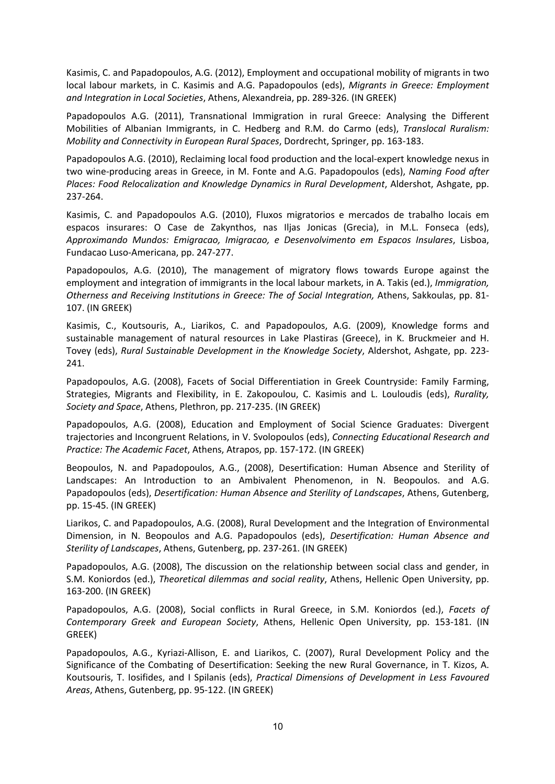Kasimis, C. and Papadopoulos, A.G. (2012), Employment and occupational mobility of migrants in two local labour markets, in C. Kasimis and A.G. Papadopoulos (eds), *Migrants in Greece: Employment and Integration in Local Societies*, Athens, Alexandreia, pp. 289-326. (IN GREEK)

Papadopoulos A.G. (2011), Transnational Immigration in rural Greece: Analysing the Different Mobilities of Albanian Immigrants, in C. Hedberg and R.M. do Carmo (eds), *Translocal Ruralism: Mobility and Connectivity in European Rural Spaces*, Dordrecht, Springer, pp. 163-183.

Papadopoulos A.G. (2010), Reclaiming local food production and the local-expert knowledge nexus in two wine-producing areas in Greece, in M. Fonte and A.G. Papadopoulos (eds), *Naming Food after Places: Food Relocalization and Knowledge Dynamics in Rural Development*, Aldershot, Ashgate, pp. 237-264.

Kasimis, C. and Papadopoulos A.G. (2010), Fluxos migratorios e mercados de trabalho locais em espacos insurares: O Case de Zakynthos, nas Iljas Jonicas (Grecia), in M.L. Fonseca (eds), *Approximando Mundos: Emigracao, Imigracao, e Desenvolvimento em Espacos Insulares*, Lisboa, Fundacao Luso-Americana, pp. 247-277.

Papadopoulos, A.G. (2010), The management of migratory flows towards Europe against the employment and integration of immigrants in the local labour markets, in A. Takis (ed.), *Immigration, Otherness and Receiving Institutions in Greece: The of Social Integration,* Athens, Sakkoulas, pp. 81- 107. (IN GREEK)

Kasimis, C., Koutsouris, A., Liarikos, C. and Papadopoulos, A.G. (2009), Knowledge forms and sustainable management of natural resources in Lake Plastiras (Greece), in K. Bruckmeier and H. Tovey (eds), *Rural Sustainable Development in the Knowledge Society*, Aldershot, Ashgate, pp. 223- 241.

Papadopoulos, A.G. (2008), Facets of Social Differentiation in Greek Countryside: Family Farming, Strategies, Migrants and Flexibility, in E. Zakopoulou, C. Kasimis and L. Louloudis (eds), *Rurality, Society and Space*, Athens, Plethron, pp. 217-235. (IN GREEK)

Papadopoulos, A.G. (2008), Education and Employment of Social Science Graduates: Divergent trajectories and Incongruent Relations, in V. Svolopoulos (eds), *Connecting Educational Research and Practice: The Academic Facet*, Athens, Atrapos, pp. 157-172. (IN GREEK)

Beopoulos, N. and Papadopoulos, A.G., (2008), Desertification: Human Absence and Sterility of Landscapes: An Introduction to an Ambivalent Phenomenon, in N. Beopoulos. and A.G. Papadopoulos (eds), *Desertification: Human Absence and Sterility of Landscapes*, Athens, Gutenberg, pp. 15-45. (IN GREEK)

Liarikos, C. and Papadopoulos, A.G. (2008), Rural Development and the Integration of Environmental Dimension, in N. Beopoulos and A.G. Papadopoulos (eds), *Desertification: Human Absence and Sterility of Landscapes*, Athens, Gutenberg, pp. 237-261. (IN GREEK)

Papadopoulos, A.G. (2008), The discussion on the relationship between social class and gender, in S.M. Koniordos (ed.), *Theoretical dilemmas and social reality*, Athens, Hellenic Open University, pp. 163-200. (IN GREEK)

Papadopoulos, A.G. (2008), Social conflicts in Rural Greece, in S.M. Koniordos (ed.), *Facets of Contemporary Greek and European Society*, Athens, Hellenic Open University, pp. 153-181. (IN GREEK)

Papadopoulos, A.G., Kyriazi-Allison, E. and Liarikos, C. (2007), Rural Development Policy and the Significance of the Combating of Desertification: Seeking the new Rural Governance, in T. Kizos, A. Koutsouris, T. Iosifides, and I Spilanis (eds), *Practical Dimensions of Development in Less Favoured Areas*, Athens, Gutenberg, pp. 95-122. (IN GREEK)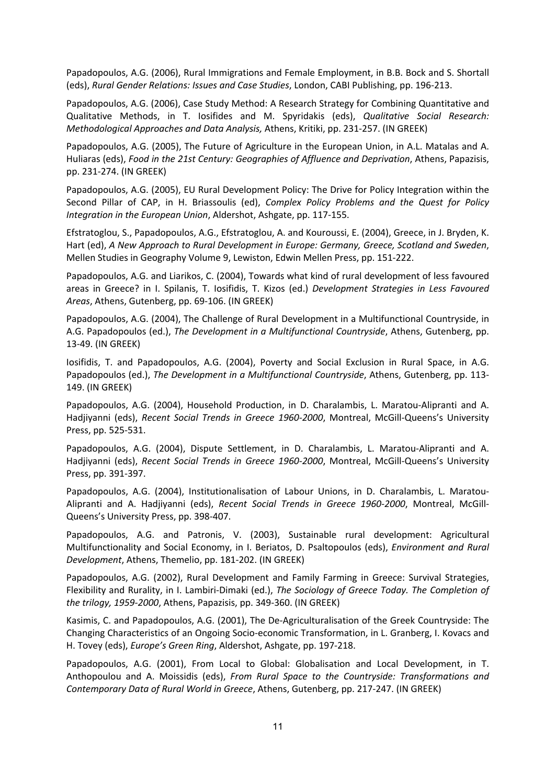Papadopoulos, A.G. (2006), Rural Immigrations and Female Employment, in B.B. Bock and S. Shortall (eds), *Rural Gender Relations: Issues and Case Studies*, London, CABI Publishing, pp. 196-213.

Papadopoulos, A.G. (2006), Case Study Method: A Research Strategy for Combining Quantitative and Qualitative Methods, in T. Iosifides and M. Spyridakis (eds), *Qualitative Social Research: Methodological Approaches and Data Analysis,* Athens, Kritiki, pp. 231-257. (IN GREEK)

Papadopoulos, A.G. (2005), The Future of Agriculture in the European Union, in A.L. Matalas and A. Huliaras (eds), *Food in the 21st Century: Geographies of Affluence and Deprivation*, Athens, Papazisis, pp. 231-274. (IN GREEK)

Papadopoulos, A.G. (2005), EU Rural Development Policy: The Drive for Policy Integration within the Second Pillar of CAP, in H. Briassoulis (ed), *Complex Policy Problems and the Quest for Policy Integration in the European Union*, Aldershot, Ashgate, pp. 117-155.

Efstratoglou, S., Papadopoulos, A.G., Efstratoglou, A. and Kouroussi, E. (2004), Greece, in J. Bryden, K. Hart (ed), *A New Approach to Rural Development in Europe: Germany, Greece, Scotland and Sweden*, Mellen Studies in Geography Volume 9, Lewiston, Edwin Mellen Press, pp. 151-222.

Papadopoulos, A.G. and Liarikos, C. (2004), Towards what kind of rural development of less favoured areas in Greece? in I. Spilanis, T. Iosifidis, T. Kizos (ed.) *Development Strategies in Less Favoured Areas*, Athens, Gutenberg, pp. 69-106. (IN GREEK)

Papadopoulos, A.G. (2004), The Challenge of Rural Development in a Multifunctional Countryside, in A.G. Papadopoulos (ed.), *The Development in a Multifunctional Countryside*, Athens, Gutenberg, pp. 13-49. (IN GREEK)

Iosifidis, T. and Papadopoulos, A.G. (2004), Poverty and Social Exclusion in Rural Space, in A.G. Papadopoulos (ed.), *The Development in a Multifunctional Countryside*, Athens, Gutenberg, pp. 113- 149. (IN GREEK)

Papadopoulos, A.G. (2004), Household Production, in D. Charalambis, L. Maratou-Alipranti and A. Hadjiyanni (eds), *Recent Social Trends in Greece 1960-2000*, Montreal, McGill-Queens's University Press, pp. 525-531.

Papadopoulos, A.G. (2004), Dispute Settlement, in D. Charalambis, L. Maratou-Alipranti and A. Hadjiyanni (eds), *Recent Social Trends in Greece 1960-2000*, Montreal, McGill-Queens's University Press, pp. 391-397.

Papadopoulos, A.G. (2004), Institutionalisation of Labour Unions, in D. Charalambis, L. Maratou-Alipranti and A. Hadjiyanni (eds), *Recent Social Trends in Greece 1960-2000*, Montreal, McGill-Queens's University Press, pp. 398-407.

Papadopoulos, A.G. and Patronis, V. (2003), Sustainable rural development: Agricultural Multifunctionality and Social Economy, in I. Beriatos, D. Psaltopoulos (eds), *Environment and Rural Development*, Athens, Themelio, pp. 181-202. (IN GREEK)

Papadopoulos, A.G. (2002), Rural Development and Family Farming in Greece: Survival Strategies, Flexibility and Rurality, in I. Lambiri-Dimaki (ed.), *The Sociology of Greece Today. The Completion of the trilogy, 1959-2000*, Athens, Papazisis, pp. 349-360. (IN GREEK)

Kasimis, C. and Papadopoulos, A.G. (2001), The De-Agriculturalisation of the Greek Countryside: The Changing Characteristics of an Ongoing Socio-economic Transformation, in L. Granberg, I. Kovacs and H. Tovey (eds), *Europe's Green Ring*, Aldershot, Ashgate, pp. 197-218.

Papadopoulos, A.G. (2001), From Local to Global: Globalisation and Local Development, in T. Anthopoulou and A. Moissidis (eds), *From Rural Space to the Countryside: Transformations and Contemporary Data of Rural World in Greece*, Athens, Gutenberg, pp. 217-247. (IN GREEK)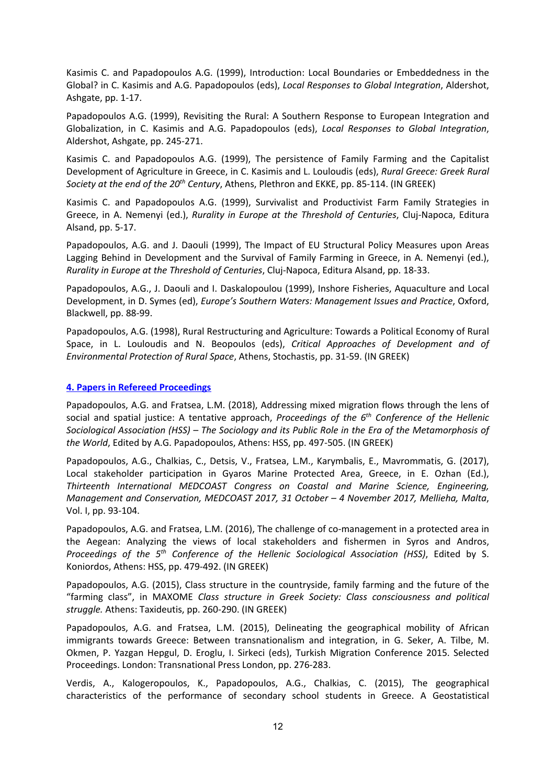Kasimis C. and Papadopoulos A.G. (1999), Introduction: Local Boundaries or Embeddedness in the Global? in C. Kasimis and A.G. Papadopoulos (eds), *Local Responses to Global Integration*, Aldershot, Ashgate, pp. 1-17.

Papadopoulos A.G. (1999), Revisiting the Rural: A Southern Response to European Integration and Globalization, in C. Kasimis and A.G. Papadopoulos (eds), *Local Responses to Global Integration*, Aldershot, Ashgate, pp. 245-271.

Kasimis C. and Papadopoulos A.G. (1999), The persistence of Family Farming and the Capitalist Development of Agriculture in Greece, in C. Kasimis and L. Louloudis (eds), *Rural Greece: Greek Rural Society at the end of the 20th Century*, Athens, Plethron and EKKE, pp. 85-114. (IN GREEK)

Kasimis C. and Papadopoulos A.G. (1999), Survivalist and Productivist Farm Family Strategies in Greece, in A. Nemenyi (ed.), *Rurality in Europe at the Threshold of Centuries*, Cluj-Napoca, Editura Alsand, pp. 5-17.

Papadopoulos, A.G. and J. Daouli (1999), The Impact of EU Structural Policy Measures upon Areas Lagging Behind in Development and the Survival of Family Farming in Greece, in A. Nemenyi (ed.), *Rurality in Europe at the Threshold of Centuries*, Cluj-Napoca, Editura Alsand, pp. 18-33.

Papadopoulos, A.G., J. Daouli and I. Daskalopoulou (1999), Inshore Fisheries, Aquaculture and Local Development, in D. Symes (ed), *Europe's Southern Waters: Management Issues and Practice*, Oxford, Blackwell, pp. 88-99.

Papadopoulos, A.G. (1998), Rural Restructuring and Agriculture: Towards a Political Economy of Rural Space, in L. Louloudis and N. Beopoulos (eds), *Critical Approaches of Development and of Environmental Protection of Rural Space*, Athens, Stochastis, pp. 31-59. (IN GREEK)

## **4. Papers in Refereed Proceedings**

Papadopoulos, A.G. and Fratsea, L.M. (2018), Addressing mixed migration flows through the lens of social and spatial justice: A tentative approach, *Proceedings of the 6th Conference of the Hellenic Sociological Association (HSS) – The Sociology and its Public Role in the Era of the Metamorphosis of the World*, Edited by A.G. Papadopoulos, Athens: HSS, pp. 497-505. (IN GREEK)

Papadopoulos, A.G., Chalkias, C., Detsis, V., Fratsea, L.M., Karymbalis, E., Mavrommatis, G. (2017), Local stakeholder participation in Gyaros Marine Protected Area, Greece, in E. Ozhan (Ed.), *Thirteenth International MEDCOAST Congress on Coastal and Marine Science, Engineering, Management and Conservation, MEDCOAST 2017, 31 October – 4 November 2017, Mellieha, Malta*, Vol. I, pp. 93-104.

Papadopoulos, A.G. and Fratsea, L.M. (2016), The challenge of co-management in a protected area in the Aegean: Analyzing the views of local stakeholders and fishermen in Syros and Andros, *Proceedings of the 5th Conference of the Hellenic Sociological Association (HSS)*, Edited by S. Koniordos, Athens: HSS, pp. 479-492. (IN GREEK)

Papadopoulos, A.G. (2015), Class structure in the countryside, family farming and the future of the "farming class", in MAXOME *Class structure in Greek Society: Class consciousness and political struggle.* Athens: Taxideutis, pp. 260-290. (IN GREEK)

Papadopoulos, A.G. and Fratsea, L.M. (2015), Delineating the geographical mobility of African immigrants towards Greece: Between transnationalism and integration, in G. Seker, A. Tilbe, M. Okmen, P. Yazgan Hepgul, D. Eroglu, I. Sirkeci (eds), Turkish Migration Conference 2015. Selected Proceedings. London: Transnational Press London, pp. 276-283.

Verdis, A., Kalogeropoulos, K., Papadopoulos, A.G., Chalkias, C. (2015), The geographical characteristics of the performance of secondary school students in Greece. A Geostatistical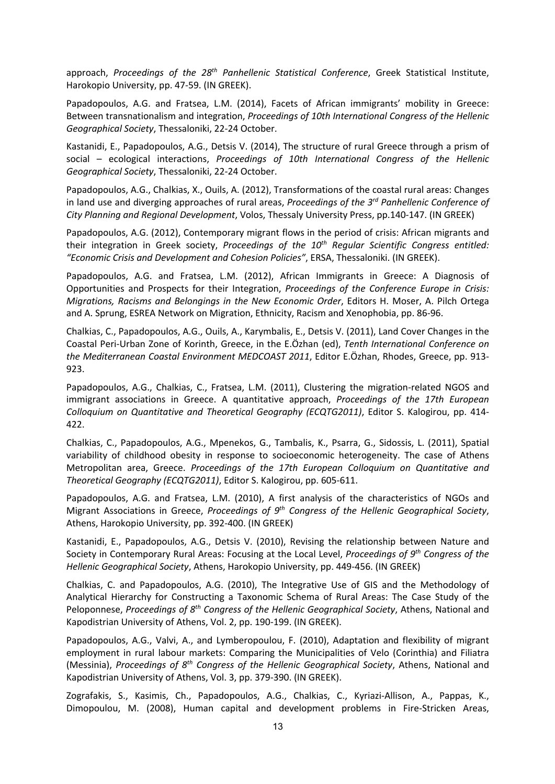approach, *Proceedings of the 28th Panhellenic Statistical Conference*, Greek Statistical Institute, Harokopio University, pp. 47-59. (IN GREEK).

Papadopoulos, A.G. and Fratsea, L.M. (2014), Facets of African immigrants' mobility in Greece: Between transnationalism and integration, *Proceedings of 10th International Congress of the Hellenic Geographical Society*, Thessaloniki, 22-24 October.

Kastanidi, E., Papadopoulos, A.G., Detsis V. (2014), The structure of rural Greece through a prism of social – ecological interactions, *Proceedings of 10th International Congress of the Hellenic Geographical Society*, Thessaloniki, 22-24 October.

Papadopoulos, A.G., Chalkias, X., Ouils, A. (2012), Transformations of the coastal rural areas: Changes in land use and diverging approaches of rural areas, *Proceedings of the 3rd Panhellenic Conference of City Planning and Regional Development*, Volos, Thessaly University Press, pp.140-147. (IN GREEK)

Papadopoulos, A.G. (2012), Contemporary migrant flows in the period of crisis: African migrants and their integration in Greek society, *Proceedings of the 10th Regular Scientific Congress entitled: "Economic Crisis and Development and Cohesion Policies"*, ERSA, Thessaloniki. (IN GREEK).

Papadopoulos, A.G. and Fratsea, L.M. (2012), African Immigrants in Greece: A Diagnosis of Opportunities and Prospects for their Integration, *Proceedings of the Conference Europe in Crisis: Migrations, Racisms and Belongings in the New Economic Order*, Editors H. Moser, A. Pilch Ortega and A. Sprung, ESREA Network on Migration, Ethnicity, Racism and Xenophobia, pp. 86-96.

Chalkias, C., Papadopoulos, A.G., Ouils, A., Karymbalis, E., Detsis V. (2011), Land Cover Changes in the Coastal Peri-Urban Zone of Korinth, Greece, in the E.Özhan (ed), *Tenth International Conference on the Mediterranean Coastal Environment MEDCOAST 2011*, Editor E.Özhan, Rhodes, Greece, pp. 913- 923.

Papadopoulos, A.G., Chalkias, C., Fratsea, L.M. (2011), Clustering the migration-related NGOS and immigrant associations in Greece. A quantitative approach, *Proceedings of the 17th European Colloquium on Quantitative and Theoretical Geography (ECQTG2011)*, Editor S. Kalogirou, pp. 414- 422.

Chalkias, C., Papadopoulos, A.G., Mpenekos, G., Tambalis, K., Psarra, G., Sidossis, L. (2011), Spatial variability of childhood obesity in response to socioeconomic heterogeneity. The case of Athens Metropolitan area, Greece. *Proceedings of the 17th European Colloquium on Quantitative and Theoretical Geography (ECQTG2011)*, Editor S. Kalogirou, pp. 605-611.

Papadopoulos, A.G. and Fratsea, L.M. (2010), A first analysis of the characteristics of NGOs and Migrant Associations in Greece, *Proceedings of 9th Congress of the Hellenic Geographical Society*, Athens, Harokopio University, pp. 392-400. (IN GREEK)

Kastanidi, E., Papadopoulos, A.G., Detsis V. (2010), Revising the relationship between Nature and Society in Contemporary Rural Areas: Focusing at the Local Level, *Proceedings of 9th Congress of the Hellenic Geographical Society*, Athens, Harokopio University, pp. 449-456. (IN GREEK)

Chalkias, C. and Papadopoulos, A.G. (2010), The Integrative Use of GIS and the Methodology of Analytical Hierarchy for Constructing a Taxonomic Schema of Rural Areas: The Case Study of the Peloponnese, *Proceedings of 8th Congress of the Hellenic Geographical Society*, Athens, National and Kapodistrian University of Athens, Vol. 2, pp. 190-199. (IN GREEK).

Papadopoulos, A.G., Valvi, A., and Lymberopoulou, F. (2010), Adaptation and flexibility of migrant employment in rural labour markets: Comparing the Municipalities of Velo (Corinthia) and Filiatra (Messinia), *Proceedings of 8th Congress of the Hellenic Geographical Society*, Athens, National and Kapodistrian University of Athens, Vol. 3, pp. 379-390. (IN GREEK).

Zografakis, S., Kasimis, Ch., Papadopoulos, A.G., Chalkias, C., Kyriazi-Allison, A., Pappas, K., Dimopoulou, M. (2008), Human capital and development problems in Fire-Stricken Areas,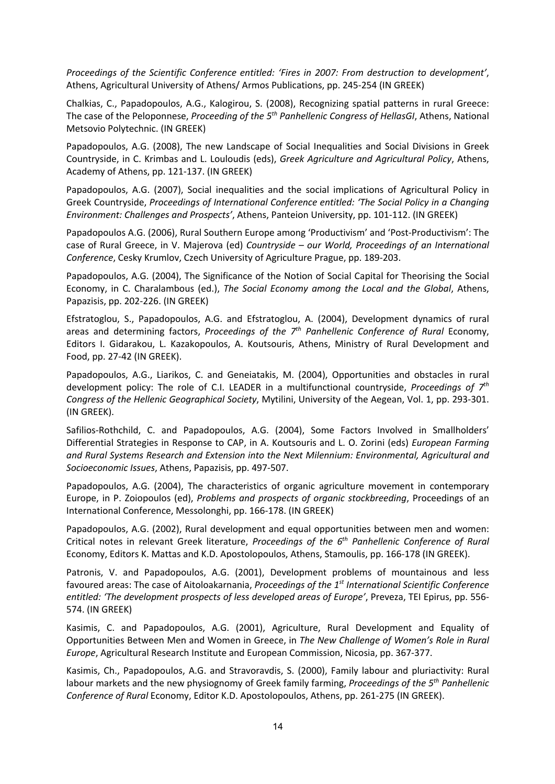*Proceedings of the Scientific Conference entitled: 'Fires in 2007: From destruction to development'*, Athens, Agricultural University of Athens/ Armos Publications, pp. 245-254 (IN GREEK)

Chalkias, C., Papadopoulos, A.G., Kalogirou, S. (2008), Recognizing spatial patterns in rural Greece: The case of the Peloponnese, *Proceeding of the 5th Panhellenic Congress of HellasGI*, Athens, National Metsovio Polytechnic. (IN GREEK)

Papadopoulos, A.G. (2008), The new Landscape of Social Inequalities and Social Divisions in Greek Countryside, in C. Krimbas and L. Louloudis (eds), *Greek Agriculture and Agricultural Policy*, Athens, Academy of Athens, pp. 121-137. (IN GREEK)

Papadopoulos, A.G. (2007), Social inequalities and the social implications of Agricultural Policy in Greek Countryside, *Proceedings of International Conference entitled: 'The Social Policy in a Changing Environment: Challenges and Prospects'*, Athens, Panteion University, pp. 101-112. (IN GREEK)

Papadopoulos A.G. (2006), Rural Southern Europe among 'Productivism' and 'Post-Productivism': The case of Rural Greece, in V. Majerova (ed) *Countryside – our World, Proceedings of an International Conference*, Cesky Krumlov, Czech University of Agriculture Prague, pp. 189-203.

Papadopoulos, A.G. (2004), The Significance of the Notion of Social Capital for Theorising the Social Economy, in C. Charalambous (ed.), *The Social Economy among the Local and the Global*, Athens, Papazisis, pp. 202-226. (IN GREEK)

Efstratoglou, S., Papadopoulos, A.G. and Efstratoglou, A. (2004), Development dynamics of rural areas and determining factors, *Proceedings of the 7th Panhellenic Conference of Rural* Economy, Editors I. Gidarakou, L. Kazakopoulos, A. Koutsouris, Athens, Ministry of Rural Development and Food, pp. 27-42 (IN GREEK).

Papadopoulos, A.G., Liarikos, C. and Geneiatakis, M. (2004), Opportunities and obstacles in rural development policy: The role of C.I. LEADER in a multifunctional countryside, *Proceedings of 7th Congress of the Hellenic Geographical Society*, Mytilini, University of the Aegean, Vol. 1, pp. 293-301. (IN GREEK).

Safilios-Rothchild, C. and Papadopoulos, A.G. (2004), Some Factors Involved in Smallholders' Differential Strategies in Response to CAP, in A. Koutsouris and L. O. Zorini (eds) *European Farming and Rural Systems Research and Extension into the Next Milennium: Environmental, Agricultural and Socioeconomic Issues*, Athens, Papazisis, pp. 497-507.

Papadopoulos, A.G. (2004), The characteristics of organic agriculture movement in contemporary Europe, in P. Zoiopoulos (ed), *Problems and prospects of organic stockbreeding*, Proceedings of an International Conference, Messolonghi, pp. 166-178. (IN GREEK)

Papadopoulos, A.G. (2002), Rural development and equal opportunities between men and women: Critical notes in relevant Greek literature, *Proceedings of the 6th Panhellenic Conference of Rural*  Economy, Editors K. Mattas and K.D. Apostolopoulos, Athens, Stamoulis, pp. 166-178 (IN GREEK).

Patronis, V. and Papadopoulos, A.G. (2001), Development problems of mountainous and less favoured areas: The case of Aitoloakarnania, *Proceedings of the 1st International Scientific Conference entitled: 'The development prospects of less developed areas of Europe'*, Preveza, TEI Epirus, pp. 556- 574. (IN GREEK)

Kasimis, C. and Papadopoulos, A.G. (2001), Agriculture, Rural Development and Equality of Opportunities Between Men and Women in Greece, in *The New Challenge of Women's Role in Rural Europe*, Agricultural Research Institute and European Commission, Nicosia, pp. 367-377.

Kasimis, Ch., Papadopoulos, A.G. and Stravoravdis, S. (2000), Family labour and pluriactivity: Rural labour markets and the new physiognomy of Greek family farming, *Proceedings of the 5th Panhellenic Conference of Rural* Economy, Editor K.D. Apostolopoulos, Athens, pp. 261-275 (IN GREEK).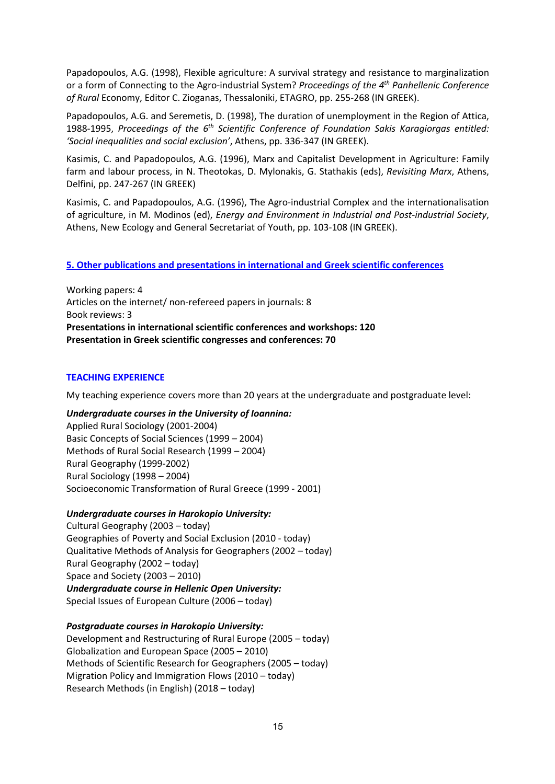Papadopoulos, A.G. (1998), Flexible agriculture: A survival strategy and resistance to marginalization or a form of Connecting to the Agro-industrial System? *Proceedings of the 4th Panhellenic Conference of Rural* Economy, Editor C. Zioganas, Thessaloniki, ETAGRO, pp. 255-268 (IN GREEK).

Papadopoulos, A.G. and Seremetis, D. (1998), The duration of unemployment in the Region of Attica, 1988-1995, *Proceedings of the 6th Scientific Conference of Foundation Sakis Karagiorgas entitled: 'Social inequalities and social exclusion'*, Athens, pp. 336-347 (IN GREEK).

Kasimis, C. and Papadopoulos, A.G. (1996), Marx and Capitalist Development in Agriculture: Family farm and labour process, in N. Theotokas, D. Mylonakis, G. Stathakis (eds), *Revisiting Marx*, Athens, Delfini, pp. 247-267 (IN GREEK)

Kasimis, C. and Papadopoulos, A.G. (1996), The Agro-industrial Complex and the internationalisation of agriculture, in M. Modinos (ed), *Energy and Environment in Industrial and Post-industrial Society*, Athens, New Ecology and General Secretariat of Youth, pp. 103-108 (IN GREEK).

# **5. Other publications and presentations in international and Greek scientific conferences**

Working papers: 4 Articles on the internet/ non-refereed papers in journals: 8 Book reviews: 3 **Presentations in international scientific conferences and workshops: 120 Presentation in Greek scientific congresses and conferences: 70**

## **TEACHING EXPERIENCE**

My teaching experience covers more than 20 years at the undergraduate and postgraduate level:

## *Undergraduate courses in the University of Ioannina:*

Applied Rural Sociology (2001-2004) Basic Concepts of Social Sciences (1999 – 2004) Methods of Rural Social Research (1999 – 2004) Rural Geography (1999-2002) Rural Sociology (1998 – 2004) Socioeconomic Transformation of Rural Greece (1999 - 2001)

## *Undergraduate courses in Harokopio University:*

Cultural Geography (2003 – today) Geographies of Poverty and Social Exclusion (2010 - today) Qualitative Methods of Analysis for Geographers (2002 – today) Rural Geography (2002 – today) Space and Society (2003 – 2010) *Undergraduate course in Hellenic Open University:* Special Issues of European Culture (2006 – today)

## *Postgraduate courses in Harokopio University:*

Development and Restructuring of Rural Europe (2005 – today) Globalization and European Space (2005 – 2010) Methods of Scientific Research for Geographers (2005 – today) Migration Policy and Immigration Flows (2010 – today) Research Methods (in English) (2018 – today)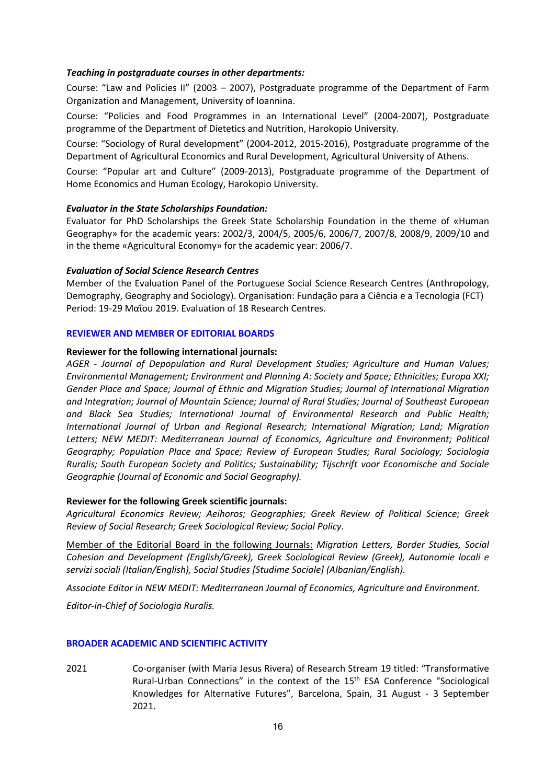## *Teaching in postgraduate courses in other departments:*

Course: "Law and Policies II" (2003 – 2007), Postgraduate programme of the Department of Farm Organization and Management, University of Ioannina.

Course: "Policies and Food Programmes in an International Level" (2004-2007), Postgraduate programme of the Department of Dietetics and Nutrition, Harokopio University.

Course: "Sociology of Rural development" (2004-2012, 2015-2016), Postgraduate programme of the Department of Agricultural Economics and Rural Development, Agricultural University of Athens.

Course: "Popular art and Culture" (2009-2013), Postgraduate programme of the Department of Home Economics and Human Ecology, Harokopio University.

## *Evaluator in the State Scholarships Foundation:*

Evaluator for PhD Scholarships the Greek State Scholarship Foundation in the theme of «Human Geography» for the academic years: 2002/3, 2004/5, 2005/6, 2006/7, 2007/8, 2008/9, 2009/10 and in the theme «Agricultural Economy» for the academic year: 2006/7.

## *Evaluation of Social Science Research Centres*

Member of the Evaluation Panel of the Portuguese Social Science Research Centres (Anthropology, Demography, Geography and Sociology). Organisation: Fundação para a Ciência e a Tecnologia (FCT) Period: 19-29 Μαΐου 2019. Evaluation of 18 Research Centres.

## **REVIEWER AND MEMBER OF EDITORIAL BOARDS**

#### **Reviewer for the following international journals:**

*AGER - Journal of Depopulation and Rural Development Studies; Agriculture and Human Values; Environmental Management; Environment and Planning A: Society and Space; Ethnicities; Europa XXI; Gender Place and Space; Journal of Ethnic and Migration Studies; Journal of International Migration and Integration; Journal of Mountain Science; Journal of Rural Studies; Journal of Southeast European and Black Sea Studies; International Journal of Environmental Research and Public Health; International Journal of Urban and Regional Research; International Migration; Land; Migration Letters; NEW MEDIT: Mediterranean Journal of Economics, Agriculture and Environment; Political Geography; Population Place and Space; Review of European Studies; Rural Sociology; Sociologia Ruralis; South European Society and Politics; Sustainability; Tijschrift voor Economische and Sociale Geographie (Journal of Economic and Social Geography).*

#### **Reviewer for the following Greek scientific journals:**

*Agricultural Economics Review; Aeihoros; Geographies; Greek Review of Political Science; Greek Review of Social Research; Greek Sociological Review; Social Policy.* 

Member of the Editorial Board in the following Journals: *Migration Letters, Border Studies, Social Cohesion and Development (English/Greek), Greek Sociological Review (Greek), Autonomie locali e servizi sociali (Italian/English), Social Studies [Studime Sociale] (Albanian/English).*

*Associate Editor in NEW MEDIT: Mediterranean Journal of Economics, Agriculture and Environment.*

*Editor-in-Chief of Sociologia Ruralis.* 

#### **BROADER ACADEMIC AND SCIENTIFIC ACTIVITY**

2021 Co-organiser (with Maria Jesus Rivera) of Research Stream 19 titled: "Transformative Rural-Urban Connections" in the context of the 15th ESA Conference "Sociological Knowledges for Alternative Futures", Barcelona, Spain, 31 August - 3 September 2021.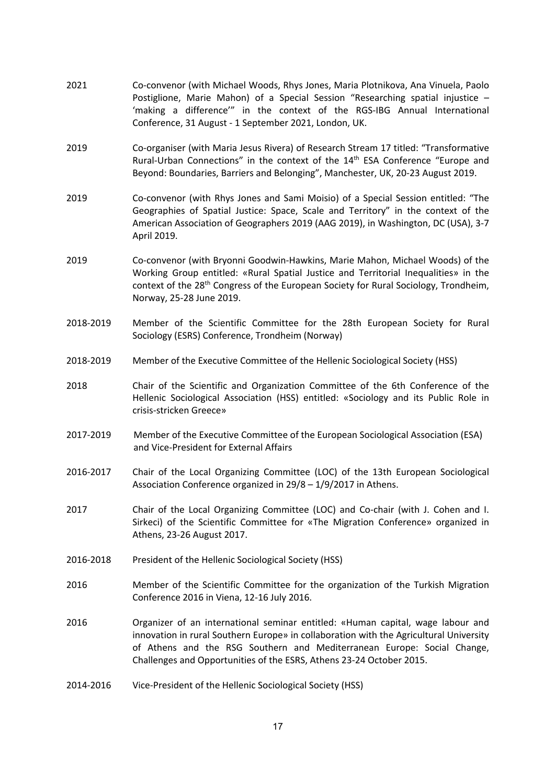- 2021 Co-convenor (with Michael Woods, Rhys Jones, Maria Plotnikova, Ana Vinuela, Paolo Postiglione, Marie Mahon) of a Special Session "Researching spatial injustice – 'making a difference'" in the context of the RGS-IBG Annual International Conference, 31 August - 1 September 2021, London, UK.
- 2019 Co-organiser (with Maria Jesus Rivera) of Research Stream 17 titled: "Transformative Rural-Urban Connections" in the context of the 14<sup>th</sup> ESA Conference "Europe and Beyond: Boundaries, Barriers and Belonging", Manchester, UK, 20-23 August 2019.
- 2019 Co-convenor (with Rhys Jones and Sami Moisio) of a Special Session entitled: "The Geographies of Spatial Justice: Space, Scale and Territory" in the context of the American Association of Geographers 2019 (AAG 2019), in Washington, DC (USA), 3-7 April 2019.
- 2019 Co-convenor (with Bryοnni Goodwin-Hawkins, Marie Mahon, Michael Woods) of the Working Group entitled: «Rural Spatial Justice and Territorial Inequalities» in the context of the 28th Congress of the European Society for Rural Sociology, Trondheim, Norway, 25-28 June 2019.
- 2018-2019 Member of the Scientific Committee for the 28th European Society for Rural Sociology (ESRS) Conference, Trondheim (Norway)
- 2018-2019 Member of the Executive Committee of the Hellenic Sociological Society (HSS)
- 2018 Chair of the Scientific and Organization Committee of the 6th Conference of the Hellenic Sociological Association (HSS) entitled: «Sociology and its Public Role in crisis-stricken Greece»
- 2017-2019 Member of the Executive Committee of the European Sociological Association (ESA) and Vice-President for External Affairs
- 2016-2017 Chair of the Local Organizing Committee (LOC) of the 13th European Sociological Association Conference organized in 29/8 – 1/9/2017 in Athens.
- 2017 Chair of the Local Organizing Committee (LOC) and Co-chair (with J. Cohen and I. Sirkeci) of the Scientific Committee for «The Migration Conference» organized in Athens, 23-26 August 2017.
- 2016-2018 President of the Hellenic Sociological Society (HSS)
- 2016 Member of the Scientific Committee for the organization of the Turkish Migration Conference 2016 in Viena, 12-16 July 2016.
- 2016 Organizer of an international seminar entitled: «Human capital, wage labour and innovation in rural Southern Europe» in collaboration with the Agricultural University of Athens and the RSG Southern and Mediterranean Europe: Social Change, Challenges and Opportunities of the ESRS, Athens 23-24 October 2015.
- 2014-2016 Vice-President of the Hellenic Sociological Society (HSS)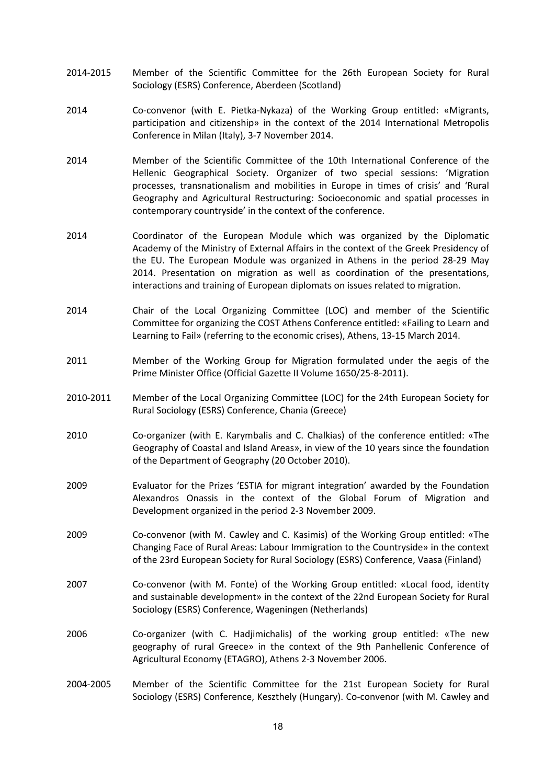- 2014-2015 Member of the Scientific Committee for the 26th European Society for Rural Sociology (ESRS) Conference, Aberdeen (Scotland)
- 2014 Co-convenor (with E. Pietka-Nykaza) of the Working Group entitled: «Migrants, participation and citizenship» in the context of the 2014 International Metropolis Conference in Milan (Italy), 3-7 November 2014.
- 2014 Member of the Scientific Committee of the 10th International Conference of the Hellenic Geographical Society. Organizer of two special sessions: 'Migration processes, transnationalism and mobilities in Europe in times of crisis' and 'Rural Geography and Agricultural Restructuring: Socioeconomic and spatial processes in contemporary countryside' in the context of the conference.
- 2014 Coordinator of the European Module which was organized by the Diplomatic Academy of the Ministry of External Affairs in the context of the Greek Presidency of the EU. The European Module was organized in Athens in the period 28-29 May 2014. Presentation on migration as well as coordination of the presentations, interactions and training of European diplomats on issues related to migration.
- 2014 Chair of the Local Organizing Committee (LOC) and member of the Scientific Committee for organizing the COST Athens Conference entitled: «Failing to Learn and Learning to Fail» (referring to the economic crises), Athens, 13-15 March 2014.
- 2011 Member of the Working Group for Migration formulated under the aegis of the Prime Minister Office (Official Gazette II Volume 1650/25-8-2011).
- 2010-2011 Member of the Local Organizing Committee (LOC) for the 24th European Society for Rural Sociology (ESRS) Conference, Chania (Greece)
- 2010 Co-organizer (with E. Karymbalis and C. Chalkias) of the conference entitled: «The Geography of Coastal and Island Areas», in view of the 10 years since the foundation of the Department of Geography (20 October 2010).
- 2009 Evaluator for the Prizes 'ESTIA for migrant integration' awarded by the Foundation Alexandros Onassis in the context of the Global Forum of Migration and Development organized in the period 2-3 November 2009.
- 2009 Co-convenor (with M. Cawley and C. Kasimis) of the Working Group entitled: «The Changing Face of Rural Areas: Labour Immigration to the Countryside» in the context of the 23rd European Society for Rural Sociology (ESRS) Conference, Vaasa (Finland)
- 2007 Co-convenor (with M. Fonte) of the Working Group entitled: «Local food, identity and sustainable development» in the context of the 22nd European Society for Rural Sociology (ESRS) Conference, Wageningen (Netherlands)
- 2006 Co-organizer (with C. Hadjimichalis) of the working group entitled: «The new geography of rural Greece» in the context of the 9th Panhellenic Conference of Agricultural Economy (ETAGRO), Athens 2-3 November 2006.
- 2004-2005 Member of the Scientific Committee for the 21st European Society for Rural Sociology (ESRS) Conference, Keszthely (Hungary). Co-convenor (with M. Cawley and